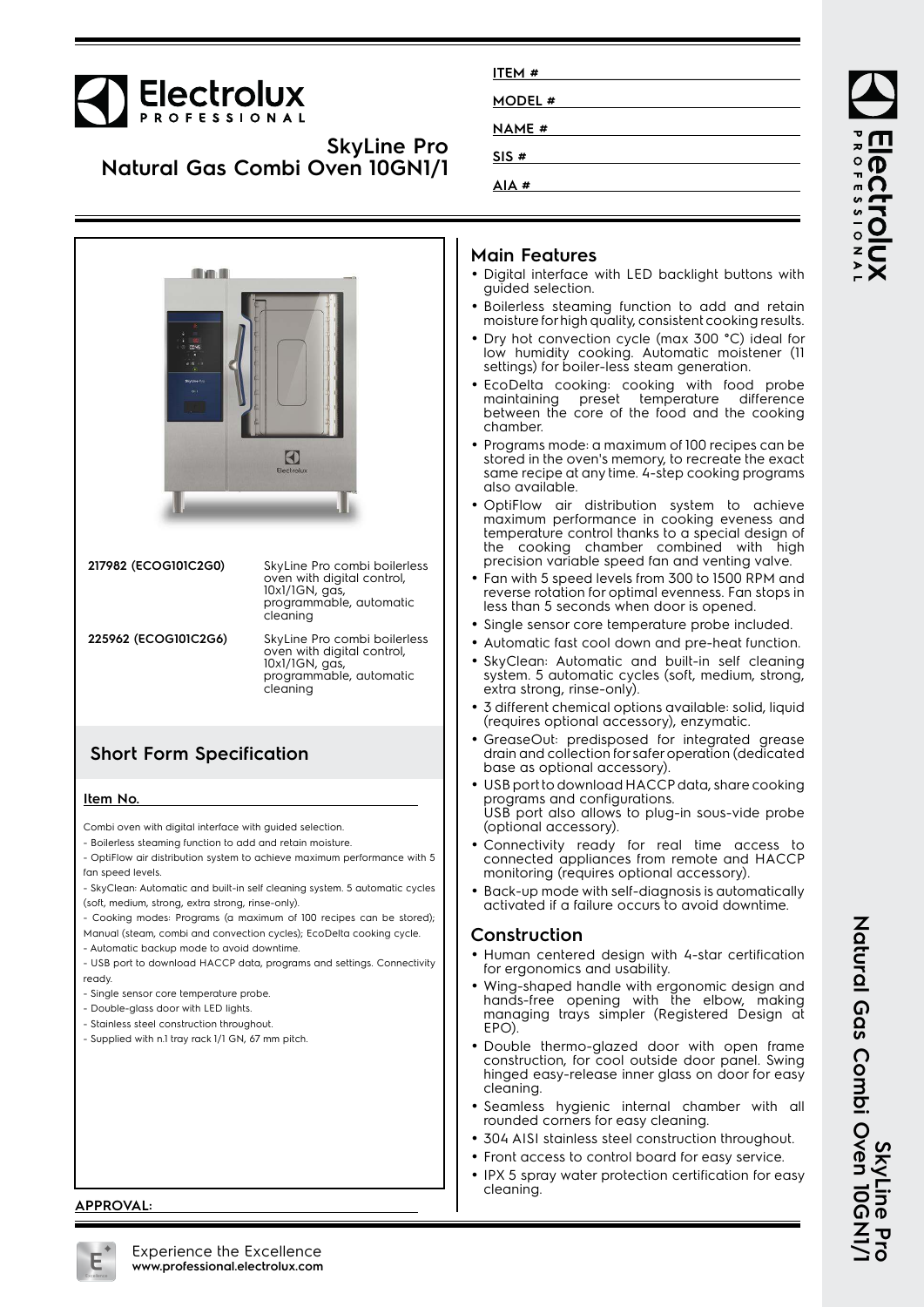# Electrolux

## **SkyLine Pro Natural Gas Combi Oven 10GN1/1**

| mys<br>SkyLine Pro-<br>$0 - 1$ | Electrolux                                                                                                          |
|--------------------------------|---------------------------------------------------------------------------------------------------------------------|
| 217982 (ECOG101C2G0)           | SkyLine Pro combi boilerless<br>oven with digital control,<br>10x1/1GN, gas,<br>programmable, automatic<br>cleaning |
| 225962 (ECOG101C2G6)           | SkyLine Pro combi boilerless<br>oven with digital control,<br>10x1/1GN, gas,<br>programmable, automatic<br>cleaning |
|                                |                                                                                                                     |

#### **Short Form Specification**

#### **Item No.**

Combi oven with digital interface with guided selection.

- Boilerless steaming function to add and retain moisture.

- OptiFlow air distribution system to achieve maximum performance with 5 fan speed levels.
- SkyClean: Automatic and built-in self cleaning system. 5 automatic cycles (soft, medium, strong, extra strong, rinse-only).
- Cooking modes: Programs (a maximum of 100 recipes can be stored);
- Manual (steam, combi and convection cycles); EcoDelta cooking cycle.

- Automatic backup mode to avoid downtime.

- USB port to download HACCP data, programs and settings. Connectivity ready.
- Single sensor core temperature probe.
- Double-glass door with LED lights.
- Stainless steel construction throughout.
- Supplied with n.1 tray rack 1/1 GN, 67 mm pitch.

#### **Main Features**

**ITEM # MODEL # NAME # SIS # AIA #**

- Digital interface with LED backlight buttons with guided selection.
- Boilerless steaming function to add and retain moisture for high quality, consistent cooking results.
- Dry hot convection cycle (max 300 °C) ideal for low humidity cooking. Automatic moistener (11 settings) for boiler-less steam generation.
- EcoDelta cooking: cooking with food probe maintaining preset temperature difference between the core of the food and the cooking chamber.
- • Programs mode: a maximum of 100 recipes can be stored in the oven's memory, to recreate the exact same recipe at any time. 4-step cooking programs also available.
- OptiFlow air distribution system to achieve maximum performance in cooking eveness and temperature control thanks to a special design of the cooking chamber combined with high precision variable speed fan and venting valve.
- Fan with 5 speed levels from 300 to 1500 RPM and reverse rotation for optimal evenness. Fan stops in less than 5 seconds when door is opened.
- Single sensor core temperature probe included.
- •Automatic fast cool down and pre-heat function.
- SkyClean: Automatic and built-in self cleaning system. 5 automatic cycles (soft, medium, strong, extra strong, rinse-only).
- 3 different chemical options available: solid, liquid (requires optional accessory), enzymatic.
- • GreaseOut: predisposed for integrated grease drain and collection for safer operation (dedicated base as optional accessory).
- USB port to download HACCP data, share cooking programs and configurations. USB port also allows to plug-in sous-vide probe (optional accessory).
- • Connectivity ready for real time access to connected appliances from remote and HACCP monitoring (requires optional accessory).
- Back-up mode with self-diagnosis is automatically activated if a failure occurs to avoid downtime.

#### **Construction**

- Human centered design with 4-star certification for ergonomics and usability.
- Wing-shaped handle with ergonomic design and hands-free opening with the elbow, making managing trays simpler (Registered Design at EPO).
- Double thermo-glazed door with open frame construction, for cool outside door panel. Swing hinged easy-release inner glass on door for easy cleaning.
- Seamless hygienic internal chamber with all rounded corners for easy cleaning.
- 304 AISI stainless steel construction throughout.
- Front access to control board for easy service.
- • IPX 5 spray water protection certification for easy cleaning.

**ROFESSIONA** 

**PCCL** 



**APPROVAL:**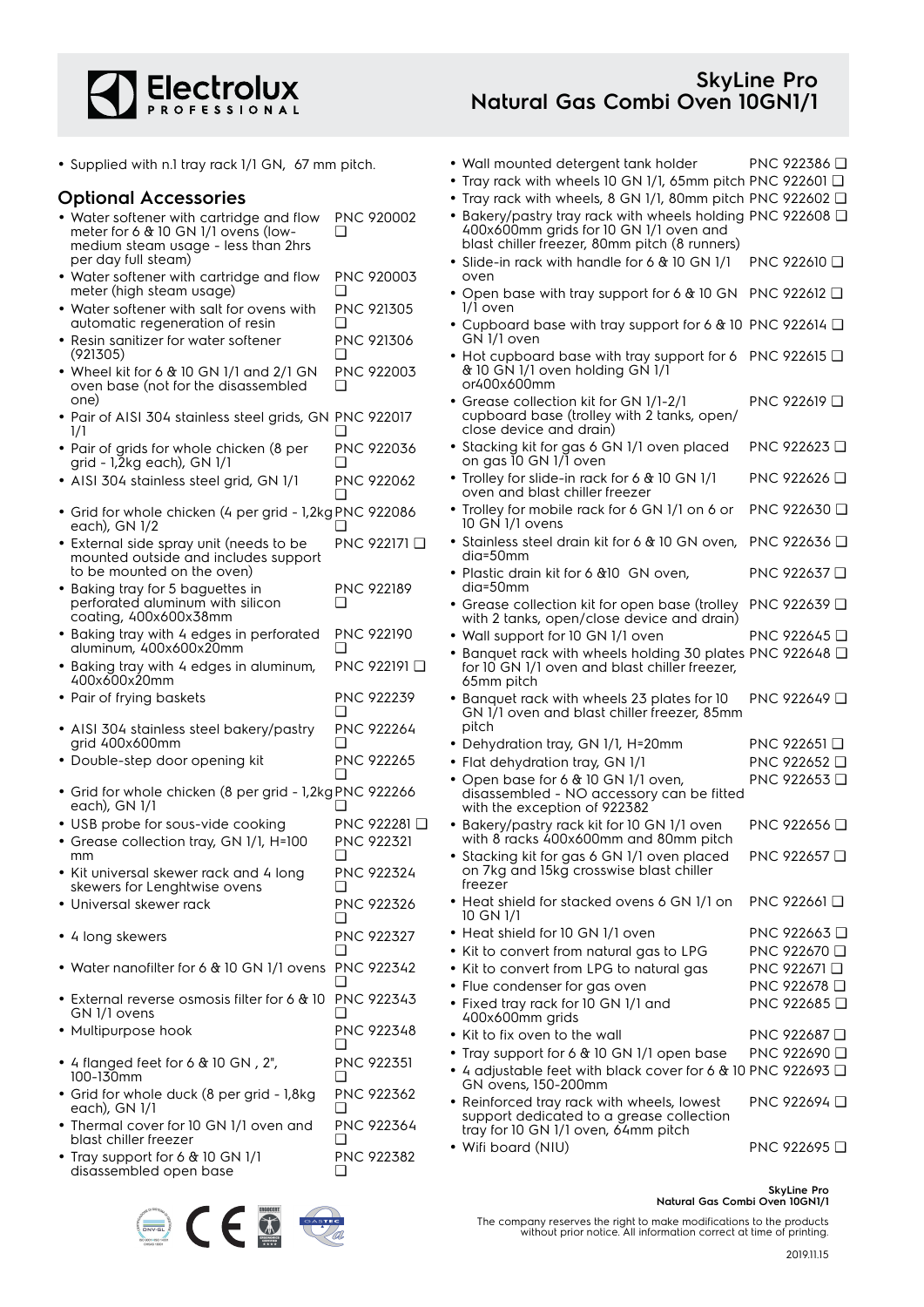

• Supplied with n.1 tray rack 1/1 GN, 67 mm pitch.

• Wall mounted detergent tank holder PNC 922386 ❑

PNC 922610 ❑

PNC 922619 ❑

PNC 922623 ❑

PNC 922626 ❑

PNC 922630 ❑

PNC 922636 ❑

PNC 922637 ❑

PNC 922639 ❑

PNC 922649 ❑

PNC 922653 ❑

PNC 922656 ❑

PNC 922657 ❑

PNC 922661 ❑

PNC 922685 ❑

- **Optional Accessories** • Water softener with cartridge and flow meter for 6 & 10 GN 1/1 ovens (lowmedium steam usage - less than 2hrs per day full steam) PNC 920002  $\Box$ • Water softener with cartridge and flow meter (high steam usage) PNC 920003  $\Box$ • Water softener with salt for ovens with automatic regeneration of resin PNC 921305 ❑ • Resin sanitizer for water softener (921305) PNC 921306 ❑ • Wheel kit for 6 & 10 GN 1/1 and 2/1 GN oven base (not for the disassembled one) PNC 922003 ❑ • Pair of AISI 304 stainless steel grids, GN PNC 922017 1/1  $\Box$ • Pair of grids for whole chicken (8 per grid - 1,2kg each), GN 1/1 PNC 922036  $\Box$ • AISI 304 stainless steel grid, GN 1/1 PNC 922062 ❑ • Grid for whole chicken (4 per grid - 1,2kg PNC 922086 each), GN 1/2 ❑ • External side spray unit (needs to be mounted outside and includes support to be mounted on the oven) PNC 922171 ❑ • Baking tray for 5 baguettes in perforated aluminum with silicon coating, 400x600x38mm PNC 922189  $\Box$ • Baking tray with 4 edges in perforated aluminum, 400x600x20mm PNC 922190 ❑ • Baking tray with 4 edges in aluminum, 400x600x20mm PNC 922191 ❑ • Pair of frying baskets PNC 922239 ❑ • AISI 304 stainless steel bakery/pastry grid 400x600mm PNC 922264 ❑ • Double-step door opening kit PNC 922265 ❑ • Grid for whole chicken (8 per grid - 1,2kg PNC 922266 each), GN 1/1 ❑ • USB probe for sous-vide cooking PNC 922281 ❑ • Grease collection tray, GN 1/1, H=100 mm PNC 922321  $\Box$ • Kit universal skewer rack and 4 long skewers for Lenghtwise ovens PNC 922324  $\Box$ • Universal skewer rack PNC 922326  $\Box$ • 4 long skewers PNC 922327  $\Box$ • Water nanofilter for 6 & 10 GN 1/1 ovens PNC 922342 ❑ • External reverse osmosis filter for 6 & 10 PNC 922343 GN 1/1 ovens  $\Box$ • Multipurpose hook PNC 922348 ❑ • 4 flanged feet for 6 & 10 GN , 2", 100-130mm PNC 922351  $\Box$ • Grid for whole duck (8 per grid - 1,8kg each), GN 1/1 PNC 922362  $\Box$ • Thermal cover for 10 GN 1/1 oven and blast chiller freezer PNC 922364 ❑ • Tray rack with wheels 10 GN 1/1, 65mm pitch PNC 922601 ❑ • Tray rack with wheels, 8 GN 1/1, 80mm pitch PNC 922602 ❑ • Bakery/pastry tray rack with wheels holding PNC 922608 ❑ 400x600mm grids for 10 GN 1/1 oven and blast chiller freezer, 80mm pitch (8 runners) • Slide-in rack with handle for 6 & 10 GN 1/1 oven •• Open base with tray support for 6  $\&$  10 GN PNC 922612  $\square$ 1/1 oven • Cupboard base with tray support for 6 & 10 PNC 922614 ❑ GN 1/1 oven • Hot cupboard base with tray support for 6 PNC 922615 ❑ & 10 GN 1/1 oven holding GN 1/1 or400x600mm • Grease collection kit for GN 1/1-2/1 cupboard base (trolley with 2 tanks, open/ close device and drain) • Stacking kit for gas 6 GN 1/1 oven placed on gas 10 GN 1/1 oven • Trolley for slide-in rack for 6 & 10 GN 1/1 oven and blast chiller freezer • Trolley for mobile rack for 6 GN 1/1 on 6 or 10 GN 1/1 ovens • Stainless steel drain kit for 6 & 10 GN oven, dia=50mm • Plastic drain kit for 6 &10 GN oven, dia=50mm • Grease collection kit for open base (trolley with 2 tanks, open/close device and drain) • Wall support for 10 GN 1/1 oven PNC 922645 □ • Banquet rack with wheels holding 30 plates PNC 922648 ❑ for 10 GN 1/1 oven and blast chiller freezer, 65mm pitch • Banquet rack with wheels 23 plates for 10 GN 1/1 oven and blast chiller freezer, 85mm pitch • Dehydration tray, GN 1/1, H=20mm PNC 922651 ❑ • Flat dehydration tray, GN 1/1 PNC 922652 ❑ • Open base for 6 & 10 GN 1/1 oven, disassembled - NO accessory can be fitted with the exception of 922382 • Bakery/pastry rack kit for 10 GN 1/1 oven with 8 racks 400x600mm and 80mm pitch • Stacking kit for gas 6 GN 1/1 oven placed on 7kg and 15kg crosswise blast chiller freezer • Heat shield for stacked ovens 6 GN 1/1 on 10 GN 1/1 • Heat shield for 10 GN 1/1 oven PNC 922663 □ • Kit to convert from natural gas to LPG PNC 922670 ❑ • Kit to convert from LPG to natural gas PNC 922671 ❑ • Flue condenser for gas oven PNC 922678  $\Box$ • Fixed tray rack for 10 GN 1/1 and 400x600mm grids • Kit to fix oven to the wall PNC 922687 ❑ • Tray support for 6 & 10 GN 1/1 open base PNC 922690 ❑ • 4 adjustable feet with black cover for 6 & 10 PNC 922693 ❑ GN ovens, 150-200mm • Reinforced tray rack with wheels, lowest support dedicated to a grease collection tray for 10 GN 1/1 oven, 64mm pitch • Wifi board (NIU) PNC 922695 ❑
	- Tray support for 6 & 10 GN 1/1 disassembled open base PNC 922382 ❑



2019.11.15

**SkyLine Pro**

PNC 922694 ❑

**Natural Gas Combi Oven 10GN1/1**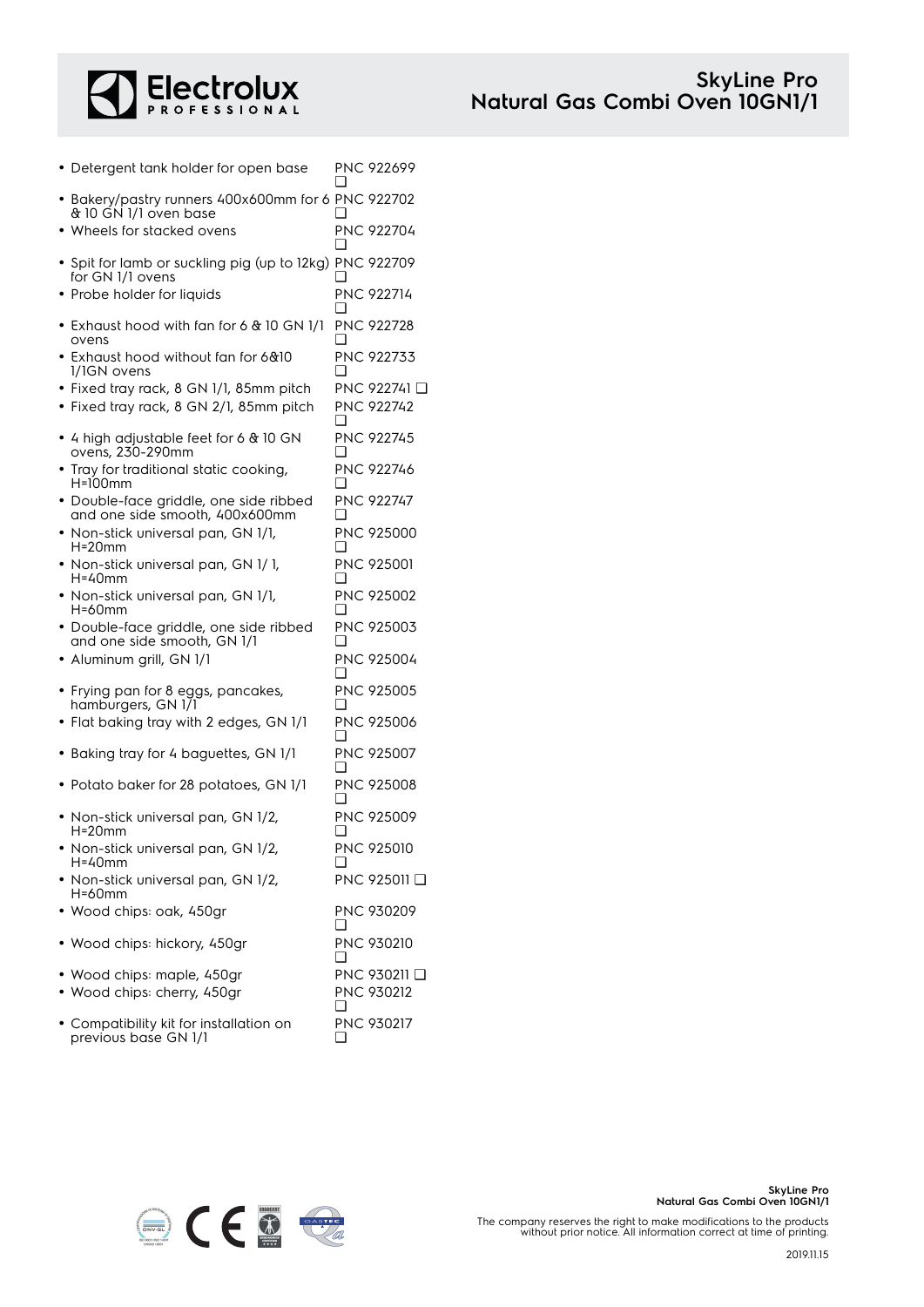

| • Detergent tank holder for open base                                       | ❏        | PNC 922699              |
|-----------------------------------------------------------------------------|----------|-------------------------|
| • Bakery/pastry runners 400x600mm for 6 PNC 922702<br>& 10 GN 1/1 oven base |          |                         |
| • Wheels for stacked ovens                                                  | □        | PNC 922704              |
| • Spit for lamb or suckling pig (up to 12kg) PNC 922709<br>for GN 1/1 ovens | □        |                         |
| • Probe holder for liquids                                                  | ∩        | <b>PNC 922714</b>       |
| • Exhaust hood with fan for 6 & 10 GN 1/1<br>ovens                          | ப        | <b>PNC 922728</b>       |
| • Exhaust hood without fan for 6&10<br>1/1GN ovens                          | H        | <b>PNC 922733</b>       |
| • Fixed tray rack, 8 GN 1/1, 85mm pitch                                     |          | PNC 922741 <del>□</del> |
| • Fixed tray rack, 8 GN 2/1, 85mm pitch                                     | □        | <b>PNC 922742</b>       |
| • 4 high adjustable feet for 6 & 10 GN<br>ovens, 230-290mm                  | ❏        | <b>PNC 922745</b>       |
| • Tray for traditional static cooking,<br>$H=100$ mm                        |          | PNC 922746              |
| · Double-face griddle, one side ribbed<br>and one side smooth, 400x600mm    | <b>∩</b> | <b>PNC 922747</b>       |
| • Non-stick universal pan, GN 1/1,<br>$H=20$ mm                             | □        | PNC 925000              |
| • Non-stick universal pan, GN 1/1,<br>H=40mm                                | □        | <b>PNC 925001</b>       |
| • Non-stick universal pan, GN 1/1,<br>H=60mm                                | ❏        | <b>PNC 925002</b>       |
| · Double-face griddle, one side ribbed<br>and one side smooth, GN 1/1       | ∣ 1      | PNC 925003              |
| · Aluminum grill, GN 1/1                                                    | □        | PNC 925004              |
| • Frying pan for 8 eggs, pancakes,<br>hamburgers, GN 171                    |          | <b>PNC 925005</b>       |
| • Flat baking tray with 2 edges, GN 1/1                                     | □        | PNC 925006              |
| • Baking tray for 4 baguettes, GN 1/1                                       | ❏        | PNC 925007              |
| • Potato baker for 28 potatoes, GN 1/1                                      |          | <b>PNC 925008</b>       |
| • Non-stick universal pan, GN 1/2,<br>$H=20mm$                              |          | <b>PNC 925009</b>       |
| • Non-stick universal pan, GN 1/2,<br>H=40mm                                | ⊔        | PNC 925010              |
| Non-stick universal pan, GN 1/2,<br>H=60mm                                  |          | PNC 925011 □            |
| · Wood chips: oak, 450gr                                                    | ப        | PNC 930209              |
| · Wood chips: hickory, 450gr                                                | ∣ 1      | <b>PNC 930210</b>       |
| · Wood chips: maple, 450gr                                                  |          | PNC 930211 <b>□</b>     |
| · Wood chips: cherry, 450gr                                                 | ❏        | PNC 930212              |
| • Compatibility kit for installation on                                     |          | PNC 930217              |



❑

previous base GN 1/1

The company reserves the right to make modifications to the products without prior notice. All information correct at time of printing.